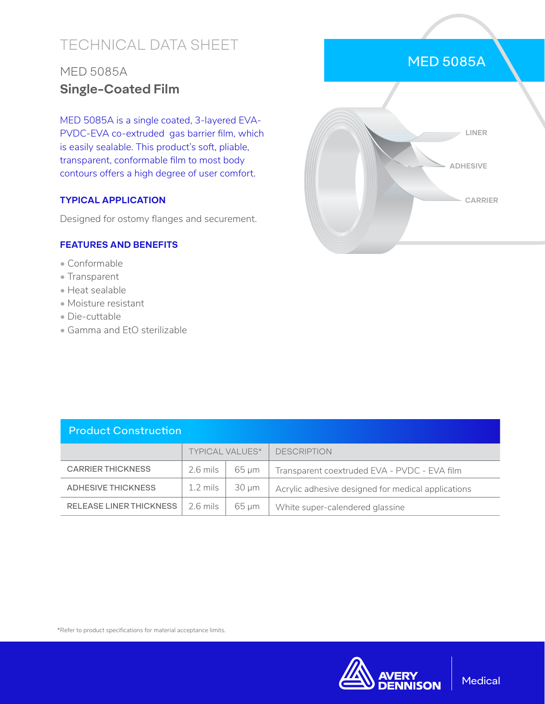# TECHNICAL DATA SHEET

## MED 5085A **Single-Coated Film**

MED 5085A is a single coated, 3-layered EVA-PVDC-EVA co-extruded gas barrier film, which is easily sealable. This product's soft, pliable, transparent, conformable film to most body contours offers a high degree of user comfort.

### **TYPICAL APPLICATION**

Designed for ostomy flanges and securement.

#### **FEATURES AND BENEFITS**

- Conformable
- Transparent
- Heat sealable
- Moisture resistant
- Die-cuttable
- Gamma and EtO sterilizable



| <b>Product Construction</b> |                        |            |                                                    |  |  |
|-----------------------------|------------------------|------------|----------------------------------------------------|--|--|
|                             | <b>TYPICAL VALUES*</b> |            | <b>DESCRIPTION</b>                                 |  |  |
| <b>CARRIER THICKNESS</b>    | $2.6$ mils             | 65 um      | Transparent coextruded EVA - PVDC - EVA film       |  |  |
| <b>ADHESIVE THICKNESS</b>   | $1.2 \text{ miles}$    | $30 \mu m$ | Acrylic adhesive designed for medical applications |  |  |
| RELEASE LINER THICKNESS     | $2.6 \text{ miles}$    | 65 um      | White super-calendered glassine                    |  |  |